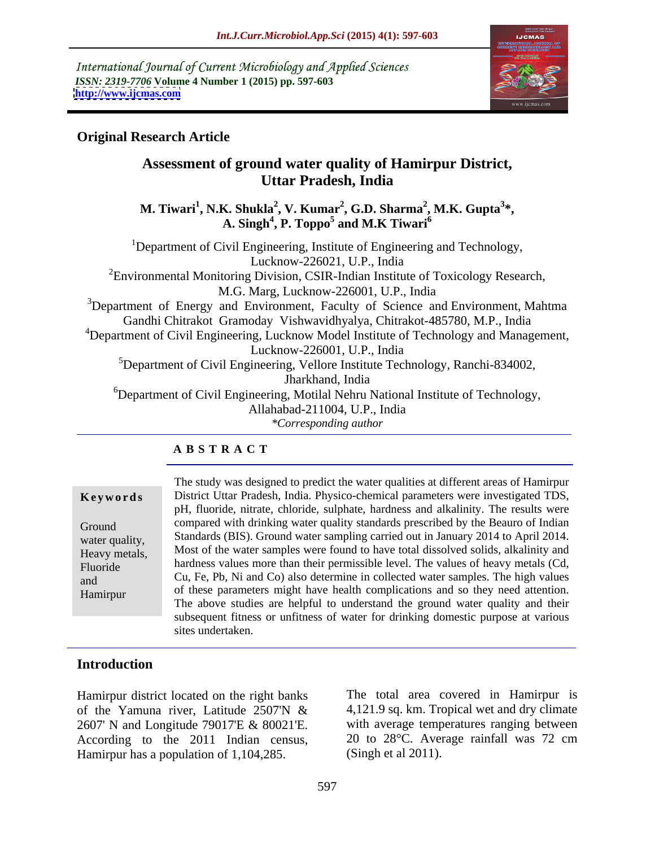International Journal of Current Microbiology and Applied Sciences *ISSN: 2319-7706* **Volume 4 Number 1 (2015) pp. 597-603 <http://www.ijcmas.com>**



## **Original Research Article**

# **Assessment of ground water quality of Hamirpur District, Uttar Pradesh, India**

**M. Tiwari<sup>1</sup> , N.K. Shukla<sup>2</sup> , V. Kumar<sup>2</sup> , G.D. Sharma<sup>2</sup> , M.K. Gupta<sup>3</sup> \*, A. Singh<sup>4</sup> , P. Toppo<sup>5</sup> and M.K Tiwari<sup>6</sup>**

<sup>1</sup>Department of Civil Engineering, Institute of Engineering and Technology, Lucknow-226021, U.P., India  ${}^{2}$ Environmental Monitoring Division, CSIR-Indian Institute of Toxicology Research, M.G. Marg, Lucknow-226001, U.P., India <sup>3</sup>Department of Energy and Environment, Faculty of Science and Environment, Mahtma Gandhi Chitrakot Gramoday Vishwavidhyalya, Chitrakot-485780, M.P., India <sup>4</sup>Department of Civil Engineering, Lucknow Model Institute of Technology and Management, Lucknow-226001, U.P., India <sup>5</sup>Department of Civil Engineering, Vellore Institute Technology, Ranchi-834002, Jharkhand, India  ${}^{6}$ Department of Civil Engineering, Motilal Nehru National Institute of Technology, Allahabad-211004, U.P., India *\*Corresponding author* 

## **A B S T R A C T**

The study was designed to predict the water qualities at different areas of Hamirpur District Uttar Pradesh, India. Physico-chemical parameters were investigated TDS, **Ke ywo rds** pH, fluoride, nitrate, chloride, sulphate, hardness and alkalinity. The results were Ground compared with drinking water quality standards prescribed by the Beauro of Indian water quality, Standards (BIS). Ground water sampling carried out in January 2014 to April 2014. Heavy metals, Most of the water samples were found to have total dissolved solids, alkalinity and Fluoride hardness values more than their permissible level. The values of heavy metals (Cd,  $\overline{G}$  Fluoride Cu, Fe, Pb, Ni and Co) also determine in collected water samples. The high values and of these parameters might have health complications and so they need attention. The above studies are helpful to understand the ground water quality and their subsequent fitness or unfitness of water for drinking domestic purpose at various sites undertaken. Hamirpur

## **Introduction**

Hamirpur district located on the right banks of the Yamuna river, Latitude 2507'N & 2607' N and Longitude 79017'E & 80021'E. According to the 2011 Indian census, Hamirpur has a population of 1,104,285.

The total area covered in Hamirpur is 4,121.9 sq. km. Tropical wet and dry climate with average temperatures ranging between 20 to 28°C. Average rainfall was 72 cm (Singh et al 2011).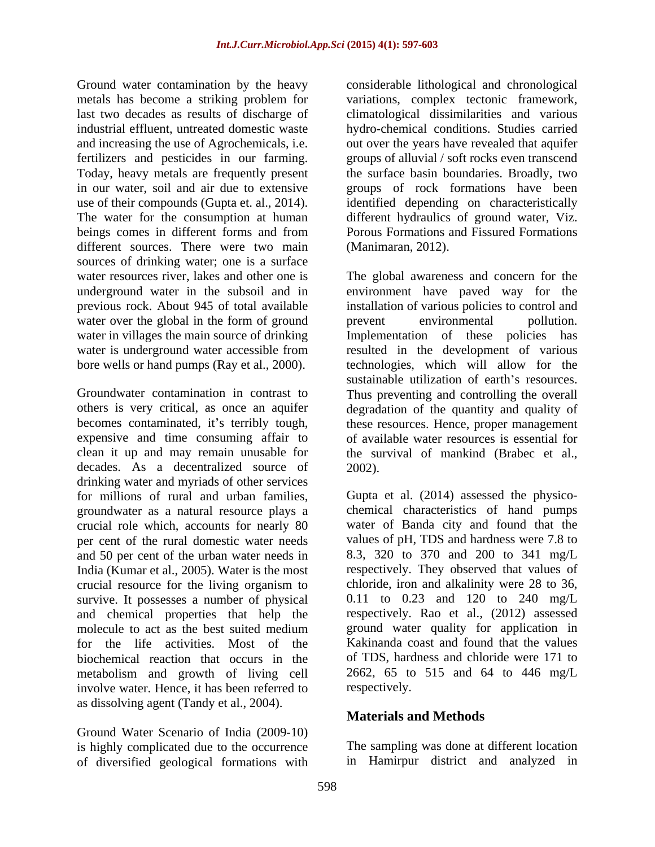Ground water contamination by the heavy metals has become a striking problem for variations, complex tectonic framework, last two decades as results of discharge of climatological dissimilarities and various industrial effluent, untreated domestic waste hydro-chemical conditions. Studies carried and increasing the use of Agrochemicals, i.e. out over the years have revealed that aquifer fertilizers and pesticides in our farming. Today, heavy metals are frequently present the surface basin boundaries. Broadly, two in our water, soil and air due to extensive groups of rock formations have been use of their compounds (Gupta et. al., 2014). identified depending on characteristically The water for the consumption at human different hydraulics of ground water, Viz. beings comes in different forms and from Porous Formations and Fissured Formations different sources. There were two main sources of drinking water; one is a surface water over the global in the form of ground prevent environmental pollution. bore wells or hand pumps (Ray et al., 2000).

decades. As a decentralized source of 2002). drinking water and myriads of other services for millions of rural and urban families, Gupta et al. (2014) assessed the physico groundwater as a natural resource plays a crucial role which, accounts for nearly 80 per cent of the rural domestic water needs and 50 per cent of the urban water needs in India (Kumar et al., 2005). Water is the most crucial resource for the living organism to survive. It possesses a number of physical and chemical properties that help the molecule to act as the best suited medium for the life activities. Most of the Kakinanda coast and found that the values biochemical reaction that occurs in the metabolism and growth of living cell 2662, 65 to 515 and 64 to 446 mg/L involve water. Hence, it has been referred to as dissolving agent (Tandy et al., 2004).

Ground Water Scenario of India (2009-10) is highly complicated due to the occurrence of diversified geological formations with

considerable lithological and chronological groups of alluvial / soft rocks even transcend Porous Formations and Fissured Formations (Manimaran, 2012).

water resources river, lakes and other one is The global awareness and concern for the underground water in the subsoil and in environment have paved way for the previous rock. About 945 of total available installation of various policies to control and water in villages the main source of drinking limplementation of these policies has water is underground water accessible from resulted in the development of various Groundwater contamination in contrast to Thus preventing and controlling the overall others is very critical, as once an aquifer degradation of the quantity and quality of becomes contaminated, it's terribly tough, these resources. Hence, proper management expensive and time consuming affair to of available water resources is essential for clean it up and may remain unusable for the survival of mankind (Brabec et al., prevent environmental pollution. technologies, which will allow for the sustainable utilization of earth's resources. 2002).

> chemical characteristics of hand pumps water of Banda city and found that the values of pH, TDS and hardness were 7.8 to 8.3, 320 to 370 and 200 to 341 mg/L respectively. They observed that values of chloride, iron and alkalinity were 28 to 36, 0.11 to 0.23 and 120 to 240 mg/L respectively. Rao et al., (2012) assessed ground water quality for application in of TDS, hardness and chloride were 171 to respectively.

## **Materials and Methods**

The sampling was done at different location in Hamirpur district and analyzed in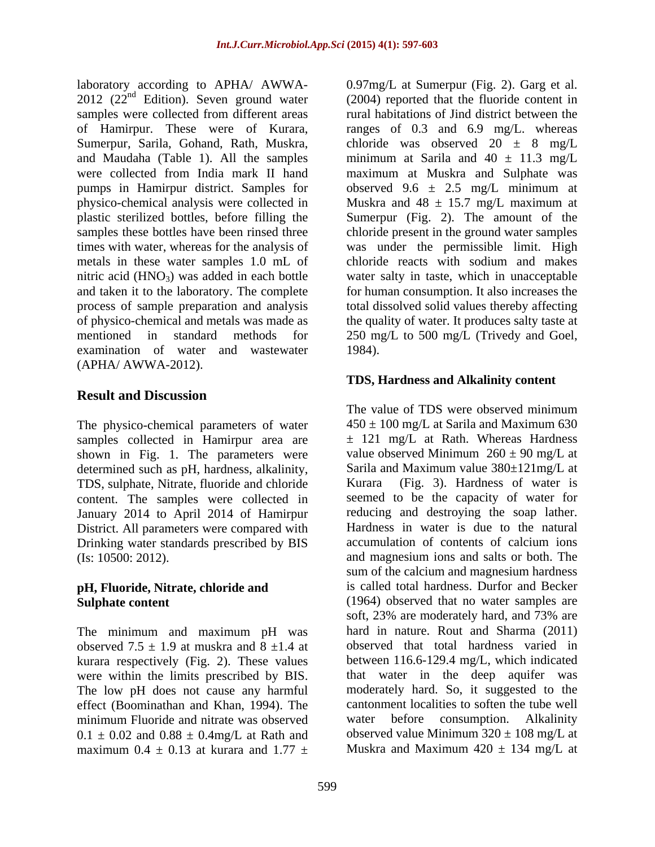laboratory according to APHA/ AWWA-<br>2012 (22<sup>nd</sup> Edition). Seven ground water samples were collected from different areas and taken it to the laboratory. The complete process of sample preparation and analysis examination of water and wastewater 1984). (APHA/ AWWA-2012).

## **Result and Discussion**

The physico-chemical parameters of water samples collected in Hamirpur area are shown in Fig. 1. The parameters were determined such as pH, hardness, alkalinity, TDS, sulphate, Nitrate, fluoride and chloride content. The samples were collected in January 2014 to April 2014 of Hamirpur District. All parameters were compared with<br>
District. All parameters were compared with<br>
District is due to the natural<br>
District parameters are accumulation of contents of calcium<br>
ions Drinking water standards prescribed by BIS

# **pH, Fluoride, Nitrate, chloride and**

The minimum and maximum pH was observed 7.5  $\pm$  1.9 at muskra and 8  $\pm$ 1.4 at kurara respectively (Fig. 2). These values were within the limits prescribed by BIS. The low pH does not cause any harmful effect (Boominathan and Khan, 1994). The  $0.1 \pm 0.02$  and  $0.88 \pm 0.4$ mg/L at Rath and maximum  $0.4 \pm 0.13$  at kurara and  $1.77 \pm 1.7$ 

 $2012$  ( $22<sup>nd</sup>$  Edition). Seven ground water (2004) reported that the fluoride content in of Hamirpur. These were of Kurara, ranges of 0.3 and 6.9 mg/L. whereas Sumerpur, Sarila, Gohand, Rath, Muskra, chloride was observed 20 ± 8 mg/L and Maudaha (Table 1). All the samples minimum at Sarila and  $40 \pm 11.3$  mg/L were collected from India mark II hand maximum at Muskra and Sulphate was pumps in Hamirpur district. Samples for observed 9.6 ± 2.5 mg/L minimum at physico-chemical analysis were collected in Muskra and 48 ± 15.7 mg/L maximum at plastic sterilized bottles, before filling the Sumerpur (Fig. 2). The amount of the samples these bottles have been rinsed three chloride present in the ground water samples times with water, whereas for the analysis of was under the permissible limit. High metals in these water samples 1.0 mL of chloride reacts with sodium and makes nitric acid (HNO3) was added in each bottle water salty in taste, which in unacceptable of physico-chemical and metals was made as the quality of water. It produces salty taste at mentioned in standard methods for 250 mg/L to 500 mg/L (Trivedy and Goel, 0.97mg/L at Sumerpur (Fig. 2). Garg et al. rural habitations of Jind district between the for human consumption. It also increases the total dissolved solid values thereby affecting 1984).

## **TDS, Hardness and Alkalinity content**

(Is: 10500: 2012). and magnesium ions and salts or both. The **Sulphate content** (1964) observed that no water samples are minimum Fluoride and nitrate was observed The value of TDS were observed minimum  $450 \pm 100$  mg/L at Sarila and Maximum 630  $\pm$  121 mg/L at Rath. Whereas Hardness value observed Minimum  $260 \pm 90$  mg/L at Sarila and Maximum value 380±121mg/L at Kurara (Fig. 3). Hardness of water is seemed to be the capacity of water for reducing and destroying the soap lather. Hardness in water is due to the natural accumulation of contents of calcium ions sum of the calcium and magnesium hardness is called total hardness. Durfor and Becker soft, 23% are moderately hard, and 73% are hard in nature. Rout and Sharma (2011) observed that total hardness varied in between 116.6-129.4 mg/L, which indicated that water in the deep aquifer was moderately hard. So, it suggested to the cantonment localities to soften the tube well water before consumption. Alkalinity observed value Minimum  $320 \pm 108$  mg/L at Muskra and Maximum  $420 \pm 134$  mg/L at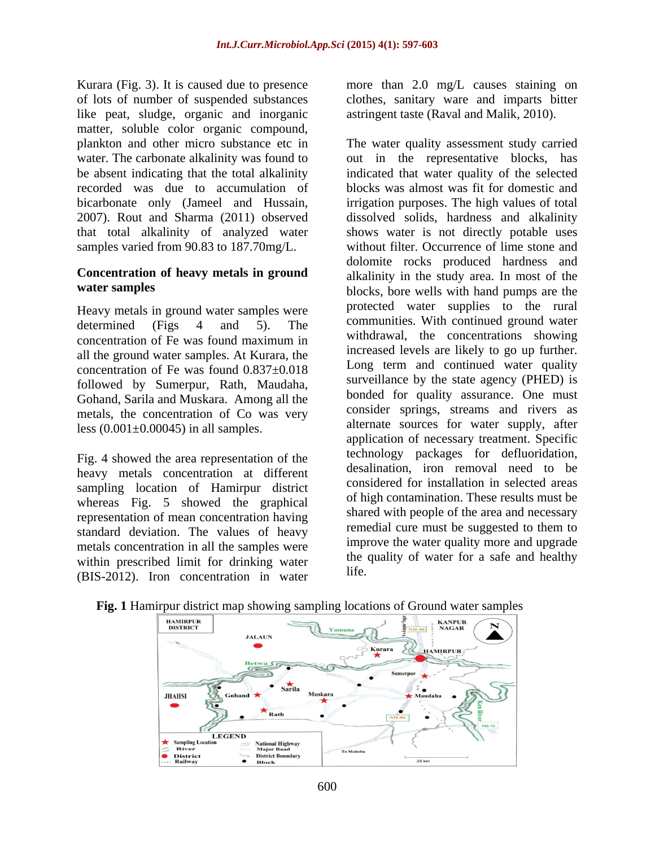Kurara (Fig. 3). It is caused due to presence more than 2.0 mg/L causes staining on of lots of number of suspended substances clothes, sanitary ware and imparts bitter like peat, sludge, organic and inorganic matter, soluble color organic compound, that total alkalinity of analyzed water samples varied from 90.83 to 187.70mg/L.

# **Concentration of heavy metals in ground**

Heavy metals in ground water samples were all the ground water samples. At Kurara, the concentration of Fe was found 0.837±0.018 followed by Sumerpur, Rath, Maudaha, Gohand, Sarila and Muskara. Among all the metals, the concentration of Co was very less  $(0.001\pm0.00045)$  in all samples.

Fig. 4 showed the area representation of the heavy metals concentration at different sampling location of Hamirpur district whereas Fig. 5 showed the graphical representation of mean concentration having standard deviation. The values of heavy metals concentration in all the samples were within prescribed limit for drinking water  $\frac{f_{\text{DE}}}{f_{\text{DE}}}$  (DIS 2012). Iron concentration in water life. (BIS-2012). Iron concentration in water

astringent taste (Raval and Malik, 2010).

plankton and other micro substance etc in The water quality assessment study carried water. The carbonate alkalinity was found to out in the representative blocks, has be absent indicating that the total alkalinity indicated that water quality of the selected recorded was due to accumulation of blocks was almost was fit for domestic and bicarbonate only (Jameel and Hussain, irrigation purposes. The high values of total 2007). Rout and Sharma (2011) observed dissolved solids, hardness and alkalinity water samples blocks, bore wells with hand pumps are the determined (Figs 4 and 5). The communities with continued ground water concentration of Fe was found maximum in William Williams Concentrations showing shows water is not directly potable uses without filter. Occurrence of lime stone and dolomite rocks produced hardness and alkalinity in the study area. In most of the protected water supplies to the rural communities. With continued ground water withdrawal, the concentrations showing increased levels are likely to go up further. Long term and continued water quality surveillance by the state agency (PHED) is bonded for quality assurance. One must consider springs, streams and rivers as alternate sources for water supply, after application of necessary treatment. Specific technology packages for defluoridation, desalination, iron removal need to be considered for installation in selected areas of high contamination. These results must be shared with people of the area and necessary remedial cure must be suggested to them to improve the water quality more and upgrade the quality of water for a safe and healthy life.



### **Fig. 1** Hamirpur district map showing sampling locations of Ground water samples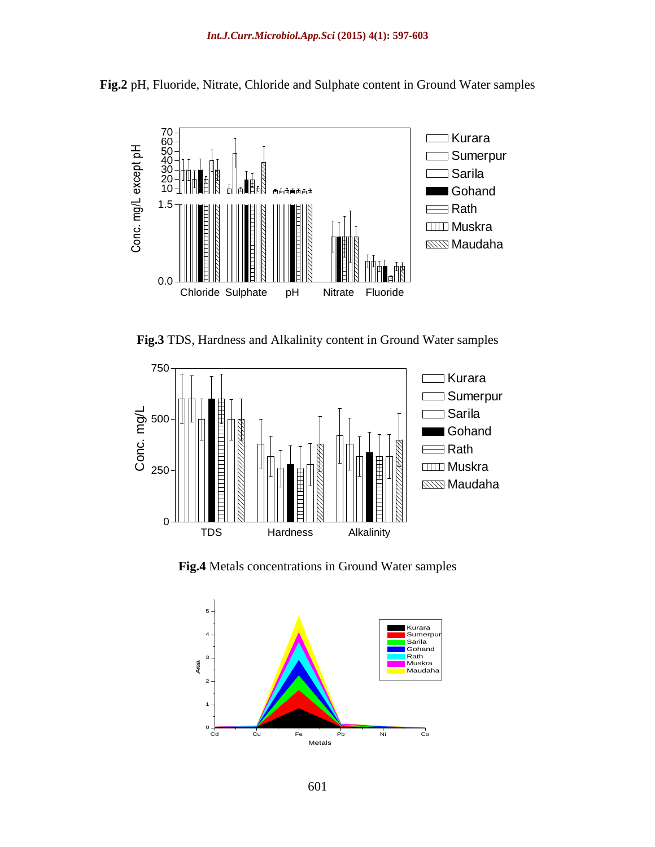

**Fig.2** pH, Fluoride, Nitrate, Chloride and Sulphate content in Ground Water samples

**Fig.3** TDS, Hardness and Alkalinity content in Ground Water samples



**Fig.4** Metals concentrations in Ground Water samples

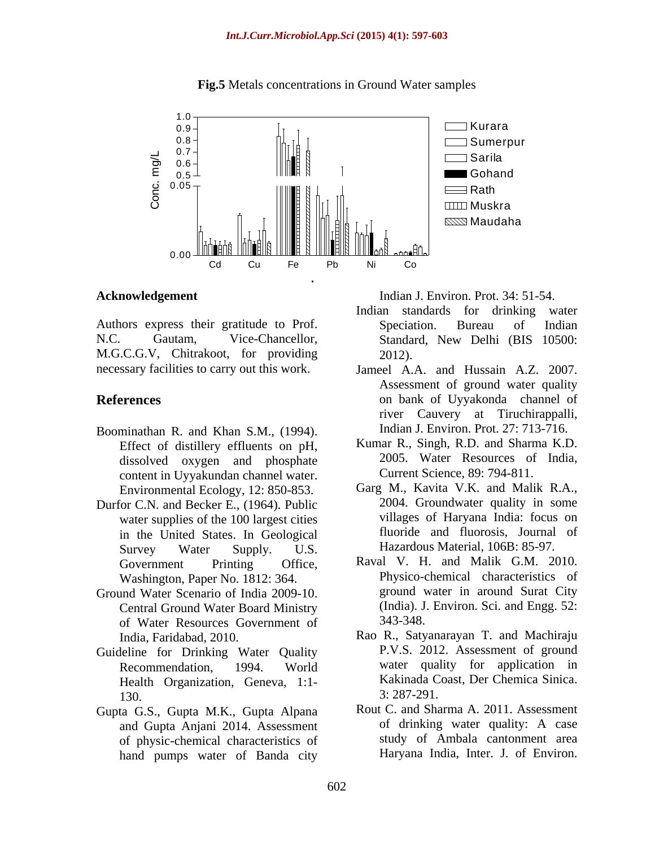

**Fig.5** Metals concentrations in Ground Water samples

N.C. Gautam, Vice-Chancellor, Standard, New Delhi (BIS 10500:<br>M.G.C.G.V, Chitrakoot, for providing 2012). necessary facilities to carry out this work.

- Boominathan R. and Khan S.M., (1994). Effect of distillery effluents on pH, dissolved oxygen and phosphate content in Uyyakundan channel water. Environmental Ecology, 12: 850-853.
- Durfor C.N. and Becker E., (1964). Public water supplies of the 100 largest cities in the United States. In Geological Survey Water Supply. U.S. Hazardous Material, 106B: 85-97.
- Ground Water Scenario of India 2009-10. Central Ground Water Board Ministry (India). J.<br>
of Water Resources Government of 343-348. of Water Resources Government of
- Guideline for Drinking Water Quality Health Organization, Geneva, 1:1-<br>130 <br>3:287-291.  $3: 287-291.$
- Gupta G.S., Gupta M.K., Gupta Alpana Rout C. and Sharma A. 2011. Assessment<br>and Gupta Aniani 2014 Assessment of drinking water quality: A case and Gupta Anjani 2014. Assessment of physic-chemical characteristics of hand pumps water of Banda city

**Acknowledgement** Indian J. Environ. Prot. 34: 51-54.

- Authors express their gratitude to Prof. Speciation. Bureau of Indian Indian standards for drinking water Speciation. Bureau of Indian Standard, New Delhi (BIS 10500: 2012).
- **References** on bank of Uyyakonda channel of Jameel A.A. and Hussain A.Z. 2007. Assessment of ground water quality river Cauvery at Tiruchirappalli, Indian J. Environ. Prot. 27: 713-716.
	- Kumar R., Singh, R.D. and Sharma K.D. 2005. Water Resources of India, Current Science, 89: 794-811.
	- Garg M., Kavita V.K. and Malik R.A., 2004. Groundwater quality in some villages of Haryana India: focus on fluoride and fluorosis, Journal of Hazardous Material, 106B: 85-97.
	- Government Printing Office, Raval V. H. and Malik G.M. 2010. Washington, Paper No. 1812: 364. Physico-chemical characteristics of ground water in around Surat City (India). J. Environ. Sci. and Engg. 52: 343-348.
	- India, Faridabad, 2010. Rao R., Satyanarayan T. and Machiraju Recommendation, 1994. World water quality for application in P.V.S. 2012. Assessment of ground Kakinada Coast, Der Chemica Sinica. 3: 287-291.
		- Rout C. and Sharma A. 2011. Assessment of drinking water quality: A case study of Ambala cantonment area Haryana India, Inter. J. of Environ.